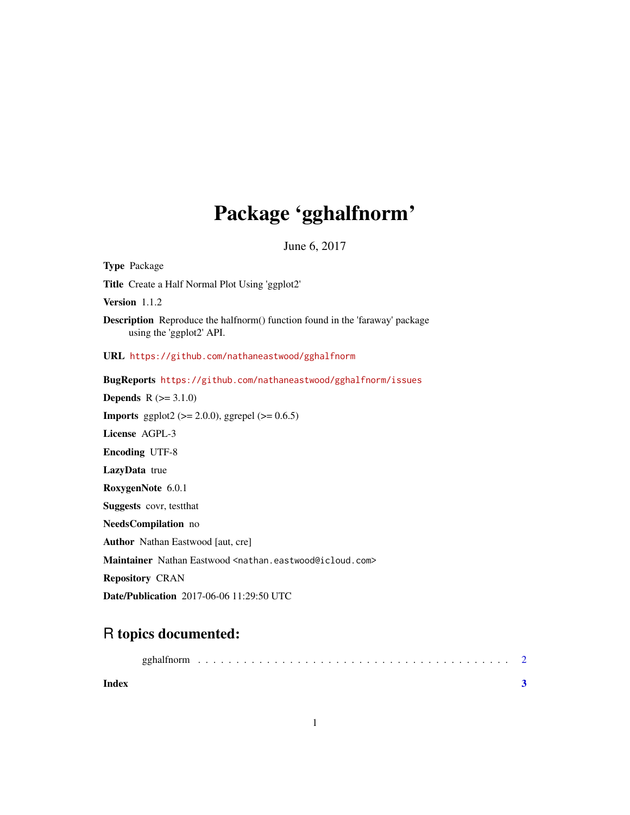## Package 'gghalfnorm'

June 6, 2017

Description Reproduce the halfnorm() function found in the 'faraway' package using the 'ggplot2' API. URL <https://github.com/nathaneastwood/gghalfnorm> BugReports <https://github.com/nathaneastwood/gghalfnorm/issues> **Depends**  $R (= 3.1.0)$ **Imports** ggplot2 ( $>= 2.0.0$ ), ggrepel ( $>= 0.6.5$ ) License AGPL-3 Encoding UTF-8 LazyData true RoxygenNote 6.0.1 Suggests covr, testthat NeedsCompilation no Author Nathan Eastwood [aut, cre] Maintainer Nathan Eastwood <nathan.eastwood@icloud.com> Repository CRAN Date/Publication 2017-06-06 11:29:50 UTC

### R topics documented:

<span id="page-0-0"></span>Type Package

Version 1.1.2

Title Create a Half Normal Plot Using 'ggplot2'

| Index |  |  |  |  |  |  |  |  |  |  |  |  |  |  |
|-------|--|--|--|--|--|--|--|--|--|--|--|--|--|--|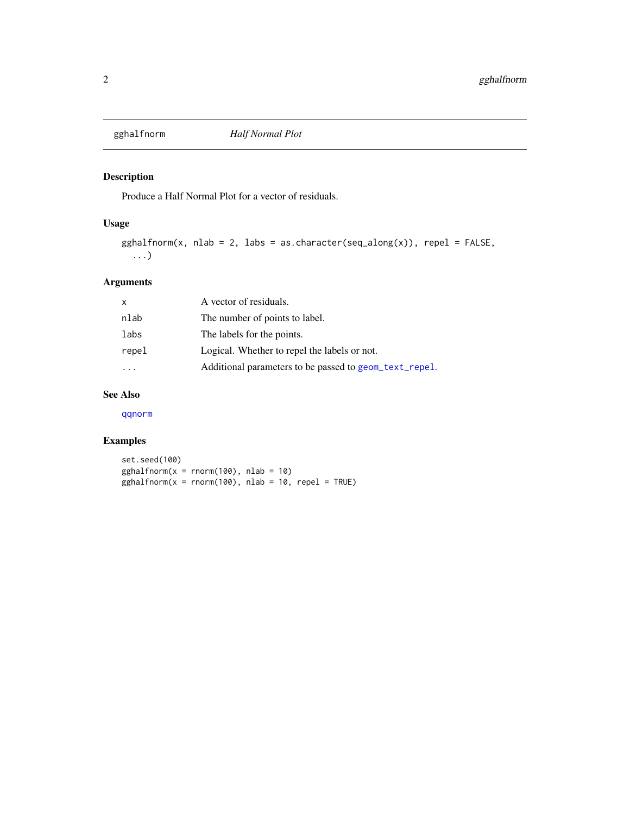<span id="page-1-0"></span>

#### Description

Produce a Half Normal Plot for a vector of residuals.

#### Usage

```
gghalfrom(x, nlab = 2, labs = as.charAtc(seq_along(x)), repel = FALSE,...)
```
#### Arguments

| A vector of residuals.                                 |
|--------------------------------------------------------|
| The number of points to label.                         |
| The labels for the points.                             |
| Logical. Whether to repel the labels or not.           |
| Additional parameters to be passed to geom_text_repel. |
|                                                        |

#### See Also

[qqnorm](#page-0-0)

#### Examples

set.seed(100)  $gghalfonom(x = rnorm(100), nlab = 10)$  $gghalfrom(x = rnorm(100), nlab = 10, repel = TRUE)$